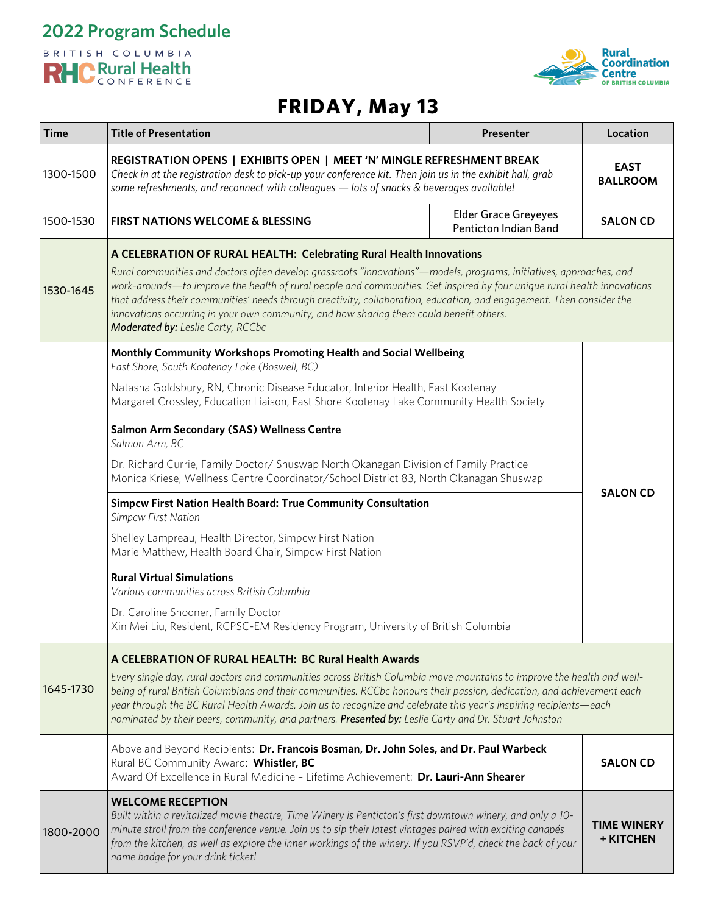



# **FRIDAY, May 13**

| <b>Time</b> | <b>Title of Presentation</b>                                                                                                                                                                                                                                                                                                                                                                                                                                                                                                                                                                                                                                                     | Presenter | Location                        |
|-------------|----------------------------------------------------------------------------------------------------------------------------------------------------------------------------------------------------------------------------------------------------------------------------------------------------------------------------------------------------------------------------------------------------------------------------------------------------------------------------------------------------------------------------------------------------------------------------------------------------------------------------------------------------------------------------------|-----------|---------------------------------|
| 1300-1500   | REGISTRATION OPENS   EXHIBITS OPEN   MEET 'N' MINGLE REFRESHMENT BREAK<br>Check in at the registration desk to pick-up your conference kit. Then join us in the exhibit hall, grab<br>some refreshments, and reconnect with colleagues - lots of snacks & beverages available!                                                                                                                                                                                                                                                                                                                                                                                                   |           | <b>EAST</b><br><b>BALLROOM</b>  |
| 1500-1530   | <b>Elder Grace Greyeyes</b><br><b>FIRST NATIONS WELCOME &amp; BLESSING</b><br>Penticton Indian Band                                                                                                                                                                                                                                                                                                                                                                                                                                                                                                                                                                              |           | <b>SALON CD</b>                 |
| 1530-1645   | A CELEBRATION OF RURAL HEALTH: Celebrating Rural Health Innovations<br>Rural communities and doctors often develop grassroots "innovations"—models, programs, initiatives, approaches, and<br>work-arounds—to improve the health of rural people and communities. Get inspired by four unique rural health innovations<br>that address their communities' needs through creativity, collaboration, education, and engagement. Then consider the<br>innovations occurring in your own community, and how sharing them could benefit others.<br>Moderated by: Leslie Carty, RCCbc                                                                                                  |           |                                 |
|             | Monthly Community Workshops Promoting Health and Social Wellbeing<br>East Shore, South Kootenay Lake (Boswell, BC)<br>Natasha Goldsbury, RN, Chronic Disease Educator, Interior Health, East Kootenay<br>Margaret Crossley, Education Liaison, East Shore Kootenay Lake Community Health Society                                                                                                                                                                                                                                                                                                                                                                                 |           |                                 |
|             | Salmon Arm Secondary (SAS) Wellness Centre<br>Salmon Arm, BC<br>Dr. Richard Currie, Family Doctor/ Shuswap North Okanagan Division of Family Practice<br>Monica Kriese, Wellness Centre Coordinator/School District 83, North Okanagan Shuswap<br>Simpcw First Nation Health Board: True Community Consultation<br><b>Simpcw First Nation</b><br>Shelley Lampreau, Health Director, Simpcw First Nation<br>Marie Matthew, Health Board Chair, Simpcw First Nation<br><b>Rural Virtual Simulations</b><br>Various communities across British Columbia<br>Dr. Caroline Shooner, Family Doctor<br>Xin Mei Liu, Resident, RCPSC-EM Residency Program, University of British Columbia |           | <b>SALON CD</b>                 |
|             |                                                                                                                                                                                                                                                                                                                                                                                                                                                                                                                                                                                                                                                                                  |           |                                 |
|             |                                                                                                                                                                                                                                                                                                                                                                                                                                                                                                                                                                                                                                                                                  |           |                                 |
|             |                                                                                                                                                                                                                                                                                                                                                                                                                                                                                                                                                                                                                                                                                  |           |                                 |
|             |                                                                                                                                                                                                                                                                                                                                                                                                                                                                                                                                                                                                                                                                                  |           |                                 |
|             |                                                                                                                                                                                                                                                                                                                                                                                                                                                                                                                                                                                                                                                                                  |           |                                 |
| 1645-1730   | A CELEBRATION OF RURAL HEALTH: BC Rural Health Awards<br>Every single day, rural doctors and communities across British Columbia move mountains to improve the health and well-<br>being of rural British Columbians and their communities. RCCbc honours their passion, dedication, and achievement each<br>year through the BC Rural Health Awards. Join us to recognize and celebrate this year's inspiring recipients—each<br>nominated by their peers, community, and partners. Presented by: Leslie Carty and Dr. Stuart Johnston                                                                                                                                          |           |                                 |
|             | Above and Beyond Recipients: Dr. Francois Bosman, Dr. John Soles, and Dr. Paul Warbeck<br>Rural BC Community Award: Whistler, BC<br>Award Of Excellence in Rural Medicine - Lifetime Achievement: Dr. Lauri-Ann Shearer                                                                                                                                                                                                                                                                                                                                                                                                                                                          |           | <b>SALON CD</b>                 |
| 1800-2000   | <b>WELCOME RECEPTION</b><br>Built within a revitalized movie theatre, Time Winery is Penticton's first downtown winery, and only a 10-<br>minute stroll from the conference venue. Join us to sip their latest vintages paired with exciting canapés<br>from the kitchen, as well as explore the inner workings of the winery. If you RSVP'd, check the back of your<br>name badge for your drink ticket!                                                                                                                                                                                                                                                                        |           | <b>TIME WINERY</b><br>+ KITCHEN |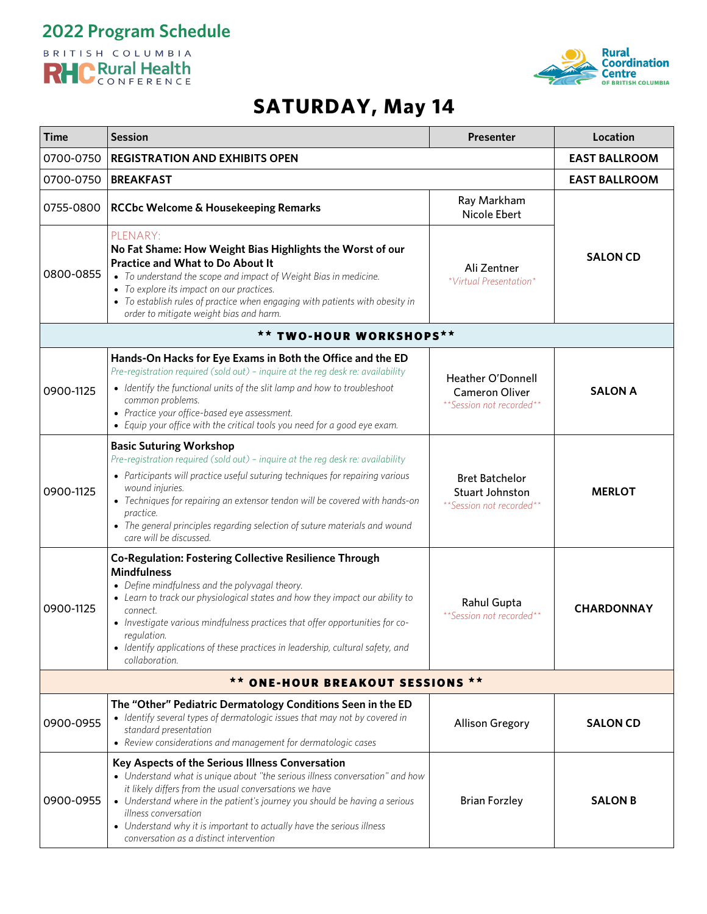



| <b>Time</b>                                        | <b>Session</b>                                                                                                                                                                                                                                                                                                                                                                                                                       | Presenter                                                              | Location             |
|----------------------------------------------------|--------------------------------------------------------------------------------------------------------------------------------------------------------------------------------------------------------------------------------------------------------------------------------------------------------------------------------------------------------------------------------------------------------------------------------------|------------------------------------------------------------------------|----------------------|
| 0700-0750<br><b>REGISTRATION AND EXHIBITS OPEN</b> |                                                                                                                                                                                                                                                                                                                                                                                                                                      | <b>EAST BALLROOM</b>                                                   |                      |
| 0700-0750                                          | <b>BREAKFAST</b>                                                                                                                                                                                                                                                                                                                                                                                                                     |                                                                        | <b>EAST BALLROOM</b> |
| 0755-0800                                          | RCCbc Welcome & Housekeeping Remarks                                                                                                                                                                                                                                                                                                                                                                                                 | Ray Markham<br>Nicole Ebert                                            |                      |
| 0800-0855                                          | PLENARY:<br>No Fat Shame: How Weight Bias Highlights the Worst of our<br><b>Practice and What to Do About It</b><br>• To understand the scope and impact of Weight Bias in medicine.<br>• To explore its impact on our practices.<br>• To establish rules of practice when engaging with patients with obesity in<br>order to mitigate weight bias and harm.                                                                         | Ali Zentner<br>*Virtual Presentation*                                  | <b>SALON CD</b>      |
|                                                    | <b>TWO-HOUR WORKSHOPS**</b>                                                                                                                                                                                                                                                                                                                                                                                                          |                                                                        |                      |
| 0900-1125                                          | Hands-On Hacks for Eye Exams in Both the Office and the ED<br>Pre-registration required (sold out) - inquire at the reg desk re: availability<br>• Identify the functional units of the slit lamp and how to troubleshoot<br>common problems.<br>• Practice your office-based eye assessment.<br>• Equip your office with the critical tools you need for a good eye exam.                                                           | Heather O'Donnell<br><b>Cameron Oliver</b><br>**Session not recorded** | <b>SALON A</b>       |
| 0900-1125                                          | <b>Basic Suturing Workshop</b><br>Pre-registration required (sold out) - inquire at the reg desk re: availability<br>• Participants will practice useful suturing techniques for repairing various<br>wound injuries.<br>• Techniques for repairing an extensor tendon will be covered with hands-on<br>practice.<br>• The general principles regarding selection of suture materials and wound<br>care will be discussed.           | <b>Bret Batchelor</b><br>Stuart Johnston<br>**Session not recorded**   | <b>MERLOT</b>        |
| 0900-1125                                          | <b>Co-Regulation: Fostering Collective Resilience Through</b><br><b>Mindfulness</b><br>• Define mindfulness and the polyvagal theory.<br>• Learn to track our physiological states and how they impact our ability to<br>connect.<br>• Investigate various mindfulness practices that offer opportunities for co-<br>regulation.<br>• Identify applications of these practices in leadership, cultural safety, and<br>collaboration. | Rahul Gupta<br>** Session not recorded**                               | <b>CHARDONNAY</b>    |
|                                                    | ** ONE-HOUR BREAKOUT SESSIONS **                                                                                                                                                                                                                                                                                                                                                                                                     |                                                                        |                      |
| 0900-0955                                          | The "Other" Pediatric Dermatology Conditions Seen in the ED<br>• Identify several types of dermatologic issues that may not by covered in<br>standard presentation<br>• Review considerations and management for dermatologic cases                                                                                                                                                                                                  | <b>Allison Gregory</b>                                                 | <b>SALON CD</b>      |
| 0900-0955                                          | Key Aspects of the Serious Illness Conversation<br>• Understand what is unique about "the serious illness conversation" and how<br>it likely differs from the usual conversations we have<br>• Understand where in the patient's journey you should be having a serious<br><i>illness</i> conversation<br>• Understand why it is important to actually have the serious illness<br>conversation as a distinct intervention           | <b>Brian Forzley</b>                                                   | <b>SALON B</b>       |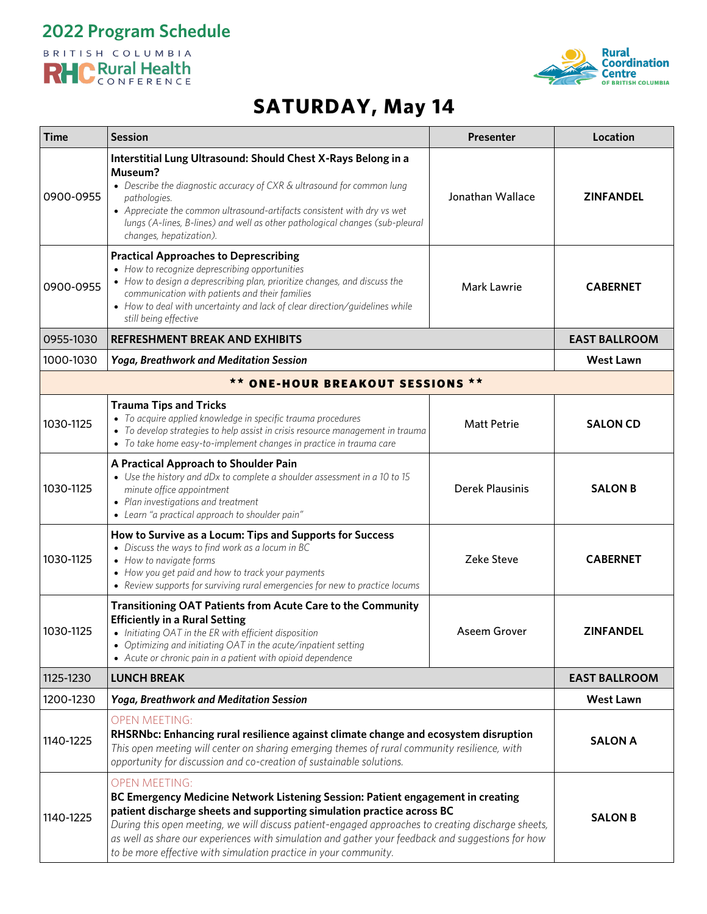



| Time      | <b>Session</b>                                                                                                                                                                                                                                                                                                                                                                                                                                                  | <b>Presenter</b>       | Location             |
|-----------|-----------------------------------------------------------------------------------------------------------------------------------------------------------------------------------------------------------------------------------------------------------------------------------------------------------------------------------------------------------------------------------------------------------------------------------------------------------------|------------------------|----------------------|
| 0900-0955 | Interstitial Lung Ultrasound: Should Chest X-Rays Belong in a<br>Museum?<br>• Describe the diagnostic accuracy of CXR & ultrasound for common lung<br>pathologies.<br>• Appreciate the common ultrasound-artifacts consistent with dry vs wet<br>lungs (A-lines, B-lines) and well as other pathological changes (sub-pleural<br>changes, hepatization).                                                                                                        | Jonathan Wallace       | <b>ZINFANDEL</b>     |
| 0900-0955 | <b>Practical Approaches to Deprescribing</b><br>• How to recognize deprescribing opportunities<br>• How to design a deprescribing plan, prioritize changes, and discuss the<br>communication with patients and their families<br>• How to deal with uncertainty and lack of clear direction/guidelines while<br>still being effective                                                                                                                           | Mark Lawrie            | <b>CABERNET</b>      |
| 0955-1030 | <b>REFRESHMENT BREAK AND EXHIBITS</b>                                                                                                                                                                                                                                                                                                                                                                                                                           |                        | <b>EAST BALLROOM</b> |
| 1000-1030 | <b>Yoga, Breathwork and Meditation Session</b>                                                                                                                                                                                                                                                                                                                                                                                                                  |                        | <b>West Lawn</b>     |
|           | ** ONE-HOUR BREAKOUT SESSIONS **                                                                                                                                                                                                                                                                                                                                                                                                                                |                        |                      |
| 1030-1125 | <b>Trauma Tips and Tricks</b><br>• To acquire applied knowledge in specific trauma procedures<br>• To develop strategies to help assist in crisis resource management in trauma<br>• To take home easy-to-implement changes in practice in trauma care                                                                                                                                                                                                          | <b>Matt Petrie</b>     | <b>SALON CD</b>      |
| 1030-1125 | A Practical Approach to Shoulder Pain<br>• Use the history and dDx to complete a shoulder assessment in a 10 to 15<br>minute office appointment<br>• Plan investigations and treatment<br>• Learn "a practical approach to shoulder pain"                                                                                                                                                                                                                       | <b>Derek Plausinis</b> | <b>SALON B</b>       |
| 1030-1125 | How to Survive as a Locum: Tips and Supports for Success<br>• Discuss the ways to find work as a locum in BC<br>• How to navigate forms<br>• How you get paid and how to track your payments<br>• Review supports for surviving rural emergencies for new to practice locums                                                                                                                                                                                    | Zeke Steve             | <b>CABERNET</b>      |
| 1030-1125 | <b>Transitioning OAT Patients from Acute Care to the Community</b><br><b>Efficiently in a Rural Setting</b><br>• Initiating OAT in the ER with efficient disposition<br>• Optimizing and initiating OAT in the acute/inpatient setting<br>• Acute or chronic pain in a patient with opioid dependence                                                                                                                                                           | Aseem Grover           | <b>ZINFANDEL</b>     |
| 1125-1230 | <b>LUNCH BREAK</b>                                                                                                                                                                                                                                                                                                                                                                                                                                              |                        | <b>EAST BALLROOM</b> |
| 1200-1230 | Yoga, Breathwork and Meditation Session                                                                                                                                                                                                                                                                                                                                                                                                                         |                        | <b>West Lawn</b>     |
| 1140-1225 | <b>OPEN MEETING:</b><br>RHSRNbc: Enhancing rural resilience against climate change and ecosystem disruption<br>This open meeting will center on sharing emerging themes of rural community resilience, with<br>opportunity for discussion and co-creation of sustainable solutions.                                                                                                                                                                             |                        | <b>SALON A</b>       |
| 1140-1225 | <b>OPEN MEETING:</b><br>BC Emergency Medicine Network Listening Session: Patient engagement in creating<br>patient discharge sheets and supporting simulation practice across BC<br>During this open meeting, we will discuss patient-engaged approaches to creating discharge sheets,<br>as well as share our experiences with simulation and gather your feedback and suggestions for how<br>to be more effective with simulation practice in your community. |                        | <b>SALON B</b>       |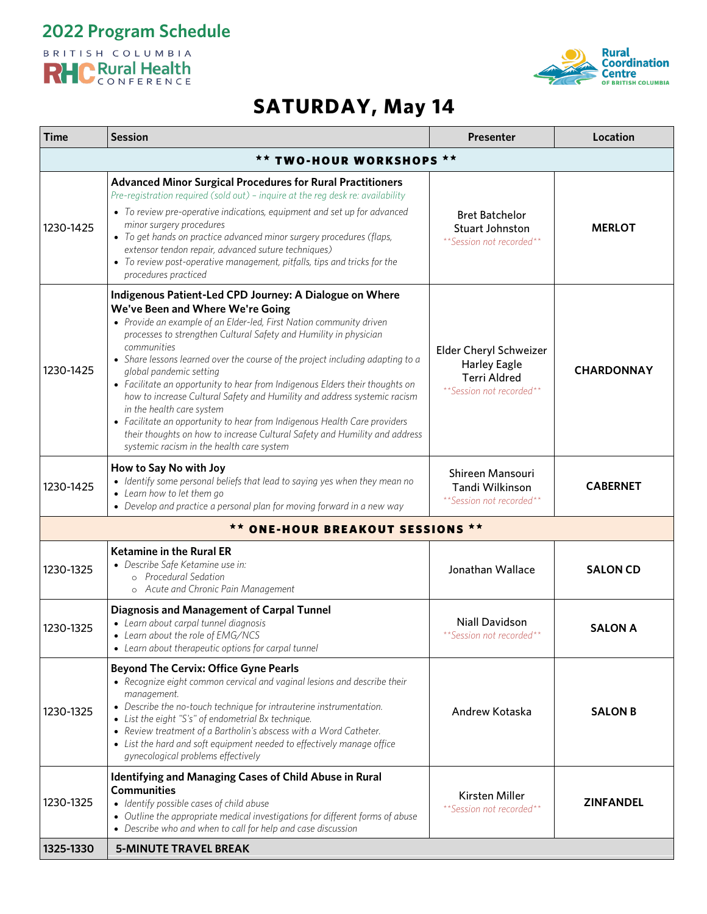**2022 Program Schedule**

#### BRITISH COLUMBIA RHC Rural Health



| Time                     | <b>Session</b>                                                                                                                                                                                                                                                                                                                                                                                                                                                                                                                                                                                                                                                                                                                                                       | <b>Presenter</b>                                                                                 | Location          |  |
|--------------------------|----------------------------------------------------------------------------------------------------------------------------------------------------------------------------------------------------------------------------------------------------------------------------------------------------------------------------------------------------------------------------------------------------------------------------------------------------------------------------------------------------------------------------------------------------------------------------------------------------------------------------------------------------------------------------------------------------------------------------------------------------------------------|--------------------------------------------------------------------------------------------------|-------------------|--|
| ** TWO-HOUR WORKSHOPS ** |                                                                                                                                                                                                                                                                                                                                                                                                                                                                                                                                                                                                                                                                                                                                                                      |                                                                                                  |                   |  |
| 1230-1425                | <b>Advanced Minor Surgical Procedures for Rural Practitioners</b><br>Pre-registration required (sold out) - inquire at the reg desk re: availability<br>• To review pre-operative indications, equipment and set up for advanced<br>minor surgery procedures<br>• To get hands on practice advanced minor surgery procedures (flaps,<br>extensor tendon repair, advanced suture techniques)<br>• To review post-operative management, pitfalls, tips and tricks for the<br>procedures practiced                                                                                                                                                                                                                                                                      | <b>Bret Batchelor</b><br><b>Stuart Johnston</b><br>** Session not recorded**                     | <b>MERLOT</b>     |  |
| 1230-1425                | Indigenous Patient-Led CPD Journey: A Dialogue on Where<br>We've Been and Where We're Going<br>• Provide an example of an Elder-led, First Nation community driven<br>processes to strengthen Cultural Safety and Humility in physician<br>communities<br>• Share lessons learned over the course of the project including adapting to a<br>global pandemic setting<br>• Facilitate an opportunity to hear from Indigenous Elders their thoughts on<br>how to increase Cultural Safety and Humility and address systemic racism<br>in the health care system<br>• Facilitate an opportunity to hear from Indigenous Health Care providers<br>their thoughts on how to increase Cultural Safety and Humility and address<br>systemic racism in the health care system | Elder Cheryl Schweizer<br><b>Harley Eagle</b><br><b>Terri Aldred</b><br>**Session not recorded** | <b>CHARDONNAY</b> |  |
| 1230-1425                | How to Say No with Joy<br>• Identify some personal beliefs that lead to saying yes when they mean no<br>• Learn how to let them go<br>• Develop and practice a personal plan for moving forward in a new way                                                                                                                                                                                                                                                                                                                                                                                                                                                                                                                                                         | Shireen Mansouri<br>Tandi Wilkinson<br>**Session not recorded**                                  | <b>CABERNET</b>   |  |
|                          | <b>ONE-HOUR BREAKOUT SESSIONS **</b>                                                                                                                                                                                                                                                                                                                                                                                                                                                                                                                                                                                                                                                                                                                                 |                                                                                                  |                   |  |
| 1230-1325                | <b>Ketamine in the Rural ER</b><br>· Describe Safe Ketamine use in:<br>o Procedural Sedation<br>o Acute and Chronic Pain Management                                                                                                                                                                                                                                                                                                                                                                                                                                                                                                                                                                                                                                  | Jonathan Wallace                                                                                 | <b>SALON CD</b>   |  |
| 1230-1325                | <b>Diagnosis and Management of Carpal Tunnel</b><br>• Learn about carpal tunnel diagnosis<br>• Learn about the role of EMG/NCS<br>• Learn about therapeutic options for carpal tunnel                                                                                                                                                                                                                                                                                                                                                                                                                                                                                                                                                                                | <b>Niall Davidson</b><br>** Session not recorded**                                               | <b>SALON A</b>    |  |
| 1230-1325                | <b>Beyond The Cervix: Office Gyne Pearls</b><br>• Recognize eight common cervical and vaginal lesions and describe their<br>management.<br>• Describe the no-touch technique for intrauterine instrumentation.<br>• List the eight "S's" of endometrial Bx technique.<br>• Review treatment of a Bartholin's abscess with a Word Catheter.<br>• List the hard and soft equipment needed to effectively manage office<br>gynecological problems effectively                                                                                                                                                                                                                                                                                                           | Andrew Kotaska                                                                                   | <b>SALON B</b>    |  |
| 1230-1325                | Identifying and Managing Cases of Child Abuse in Rural<br><b>Communities</b><br>• Identify possible cases of child abuse<br>• Outline the appropriate medical investigations for different forms of abuse<br>• Describe who and when to call for help and case discussion                                                                                                                                                                                                                                                                                                                                                                                                                                                                                            | Kirsten Miller<br>**Session not recorded**                                                       | <b>ZINFANDEL</b>  |  |
| 1325-1330                | <b>5-MINUTE TRAVEL BREAK</b>                                                                                                                                                                                                                                                                                                                                                                                                                                                                                                                                                                                                                                                                                                                                         |                                                                                                  |                   |  |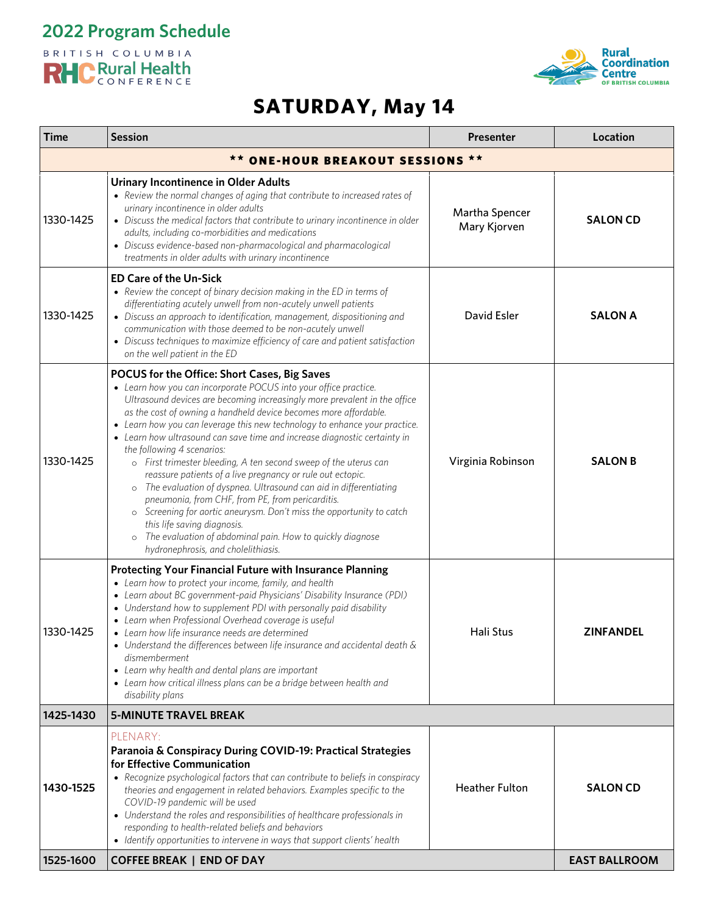**2022 Program Schedule**

#### BRITISH COLUMBIA RHC Rural Health



| <b>Time</b>                                             | <b>Session</b>                                                                                                                                                                                                                                                                                                                                                                                                                                                                                                                                                                                                                                                                                                                                                                                                                                                                                                                    | Presenter                      | Location             |  |
|---------------------------------------------------------|-----------------------------------------------------------------------------------------------------------------------------------------------------------------------------------------------------------------------------------------------------------------------------------------------------------------------------------------------------------------------------------------------------------------------------------------------------------------------------------------------------------------------------------------------------------------------------------------------------------------------------------------------------------------------------------------------------------------------------------------------------------------------------------------------------------------------------------------------------------------------------------------------------------------------------------|--------------------------------|----------------------|--|
| $\star\star$<br><b>ONE-HOUR BREAKOUT SESSIONS</b><br>★★ |                                                                                                                                                                                                                                                                                                                                                                                                                                                                                                                                                                                                                                                                                                                                                                                                                                                                                                                                   |                                |                      |  |
| 1330-1425                                               | <b>Urinary Incontinence in Older Adults</b><br>• Review the normal changes of aging that contribute to increased rates of<br>urinary incontinence in older adults<br>• Discuss the medical factors that contribute to urinary incontinence in older<br>adults, including co-morbidities and medications<br>• Discuss evidence-based non-pharmacological and pharmacological<br>treatments in older adults with urinary incontinence                                                                                                                                                                                                                                                                                                                                                                                                                                                                                               | Martha Spencer<br>Mary Kjorven | <b>SALON CD</b>      |  |
| 1330-1425                                               | <b>ED Care of the Un-Sick</b><br>• Review the concept of binary decision making in the ED in terms of<br>differentiating acutely unwell from non-acutely unwell patients<br>• Discuss an approach to identification, management, dispositioning and<br>communication with those deemed to be non-acutely unwell<br>• Discuss techniques to maximize efficiency of care and patient satisfaction<br>on the well patient in the ED                                                                                                                                                                                                                                                                                                                                                                                                                                                                                                  | David Esler                    | <b>SALON A</b>       |  |
| 1330-1425                                               | POCUS for the Office: Short Cases, Big Saves<br>• Learn how you can incorporate POCUS into your office practice.<br>Ultrasound devices are becoming increasingly more prevalent in the office<br>as the cost of owning a handheld device becomes more affordable.<br>• Learn how you can leverage this new technology to enhance your practice.<br>• Learn how ultrasound can save time and increase diagnostic certainty in<br>the following 4 scenarios:<br>o First trimester bleeding, A ten second sweep of the uterus can<br>reassure patients of a live pregnancy or rule out ectopic.<br>o The evaluation of dyspnea. Ultrasound can aid in differentiating<br>pneumonia, from CHF, from PE, from pericarditis.<br>o Screening for aortic aneurysm. Don't miss the opportunity to catch<br>this life saving diagnosis.<br>The evaluation of abdominal pain. How to quickly diagnose<br>hydronephrosis, and cholelithiasis. | Virginia Robinson              | <b>SALON B</b>       |  |
| 1330-1425                                               | <b>Protecting Your Financial Future with Insurance Planning</b><br>• Learn how to protect your income, family, and health<br>• Learn about BC government-paid Physicians' Disability Insurance (PDI)<br>• Understand how to supplement PDI with personally paid disability<br>• Learn when Professional Overhead coverage is useful<br>• Learn how life insurance needs are determined<br>• Understand the differences between life insurance and accidental death $\&$<br>dismemberment<br>• Learn why health and dental plans are important<br>• Learn how critical illness plans can be a bridge between health and<br>disability plans                                                                                                                                                                                                                                                                                        | <b>Hali Stus</b>               | <b>ZINFANDEL</b>     |  |
| 1425-1430                                               | <b>5-MINUTE TRAVEL BREAK</b>                                                                                                                                                                                                                                                                                                                                                                                                                                                                                                                                                                                                                                                                                                                                                                                                                                                                                                      |                                |                      |  |
| 1430-1525                                               | PLENARY:<br>Paranoia & Conspiracy During COVID-19: Practical Strategies<br>for Effective Communication<br>• Recognize psychological factors that can contribute to beliefs in conspiracy<br>theories and engagement in related behaviors. Examples specific to the<br>COVID-19 pandemic will be used<br>• Understand the roles and responsibilities of healthcare professionals in<br>responding to health-related beliefs and behaviors<br>• Identify opportunities to intervene in ways that support clients' health                                                                                                                                                                                                                                                                                                                                                                                                            | <b>Heather Fulton</b>          | <b>SALON CD</b>      |  |
| 1525-1600                                               | <b>COFFEE BREAK   END OF DAY</b>                                                                                                                                                                                                                                                                                                                                                                                                                                                                                                                                                                                                                                                                                                                                                                                                                                                                                                  |                                | <b>EAST BALLROOM</b> |  |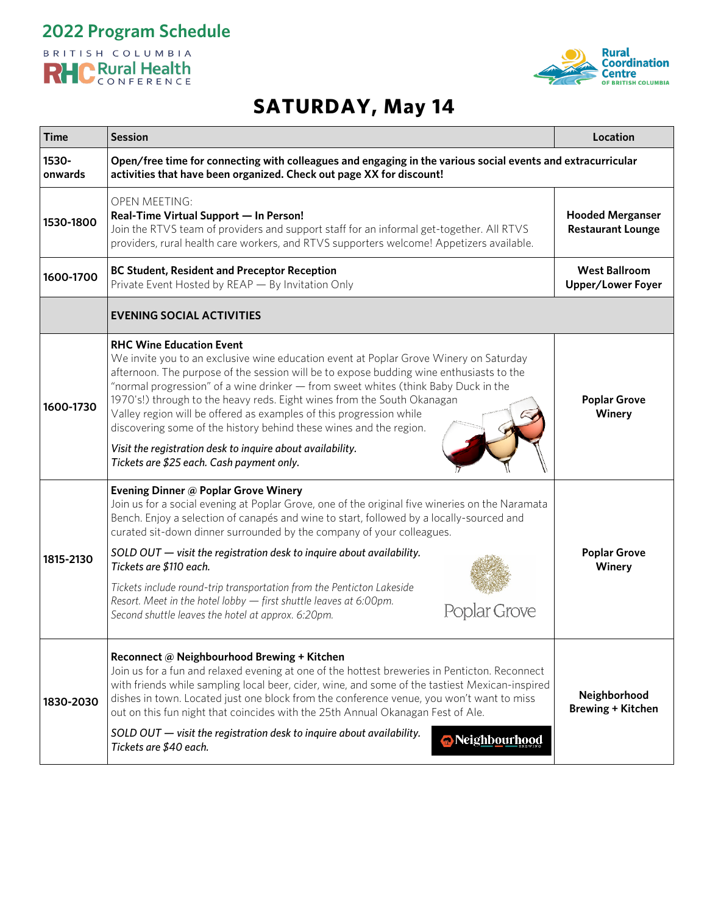



| <b>Time</b>      | <b>Session</b>                                                                                                                                                                                                                                                                                                                                                                                                                                                                                                                                                                                                                               | Location                                            |  |
|------------------|----------------------------------------------------------------------------------------------------------------------------------------------------------------------------------------------------------------------------------------------------------------------------------------------------------------------------------------------------------------------------------------------------------------------------------------------------------------------------------------------------------------------------------------------------------------------------------------------------------------------------------------------|-----------------------------------------------------|--|
| 1530-<br>onwards | Open/free time for connecting with colleagues and engaging in the various social events and extracurricular<br>activities that have been organized. Check out page XX for discount!                                                                                                                                                                                                                                                                                                                                                                                                                                                          |                                                     |  |
| 1530-1800        | <b>OPEN MEETING:</b><br>Real-Time Virtual Support - In Person!<br>Join the RTVS team of providers and support staff for an informal get-together. All RTVS<br>providers, rural health care workers, and RTVS supporters welcome! Appetizers available.                                                                                                                                                                                                                                                                                                                                                                                       | <b>Hooded Merganser</b><br><b>Restaurant Lounge</b> |  |
| 1600-1700        | <b>BC Student, Resident and Preceptor Reception</b><br>Private Event Hosted by REAP - By Invitation Only                                                                                                                                                                                                                                                                                                                                                                                                                                                                                                                                     | <b>West Ballroom</b><br><b>Upper/Lower Foyer</b>    |  |
|                  | <b>EVENING SOCIAL ACTIVITIES</b>                                                                                                                                                                                                                                                                                                                                                                                                                                                                                                                                                                                                             |                                                     |  |
| 1600-1730        | <b>RHC Wine Education Event</b><br>We invite you to an exclusive wine education event at Poplar Grove Winery on Saturday<br>afternoon. The purpose of the session will be to expose budding wine enthusiasts to the<br>"normal progression" of a wine drinker - from sweet whites (think Baby Duck in the<br>1970's!) through to the heavy reds. Eight wines from the South Okanagan<br>Valley region will be offered as examples of this progression while<br>discovering some of the history behind these wines and the region.<br>Visit the registration desk to inquire about availability.<br>Tickets are \$25 each. Cash payment only. | <b>Poplar Grove</b><br>Winery                       |  |
| 1815-2130        | Evening Dinner @ Poplar Grove Winery<br>Join us for a social evening at Poplar Grove, one of the original five wineries on the Naramata<br>Bench. Enjoy a selection of canapés and wine to start, followed by a locally-sourced and<br>curated sit-down dinner surrounded by the company of your colleagues.<br>SOLD OUT - visit the registration desk to inquire about availability.<br>Tickets are \$110 each.<br>Tickets include round-trip transportation from the Penticton Lakeside<br>Resort. Meet in the hotel lobby - first shuttle leaves at 6:00pm.<br>lar Grove<br>Second shuttle leaves the hotel at approx. 6:20pm.            | <b>Poplar Grove</b><br>Winery                       |  |
| 1830-2030        | Reconnect @ Neighbourhood Brewing + Kitchen<br>Join us for a fun and relaxed evening at one of the hottest breweries in Penticton. Reconnect<br>with friends while sampling local beer, cider, wine, and some of the tastiest Mexican-inspired<br>dishes in town. Located just one block from the conference venue, you won't want to miss<br>out on this fun night that coincides with the 25th Annual Okanagan Fest of Ale.<br>SOLD OUT - visit the registration desk to inquire about availability.<br>Neighbourhood<br>Tickets are \$40 each.                                                                                            | Neighborhood<br><b>Brewing + Kitchen</b>            |  |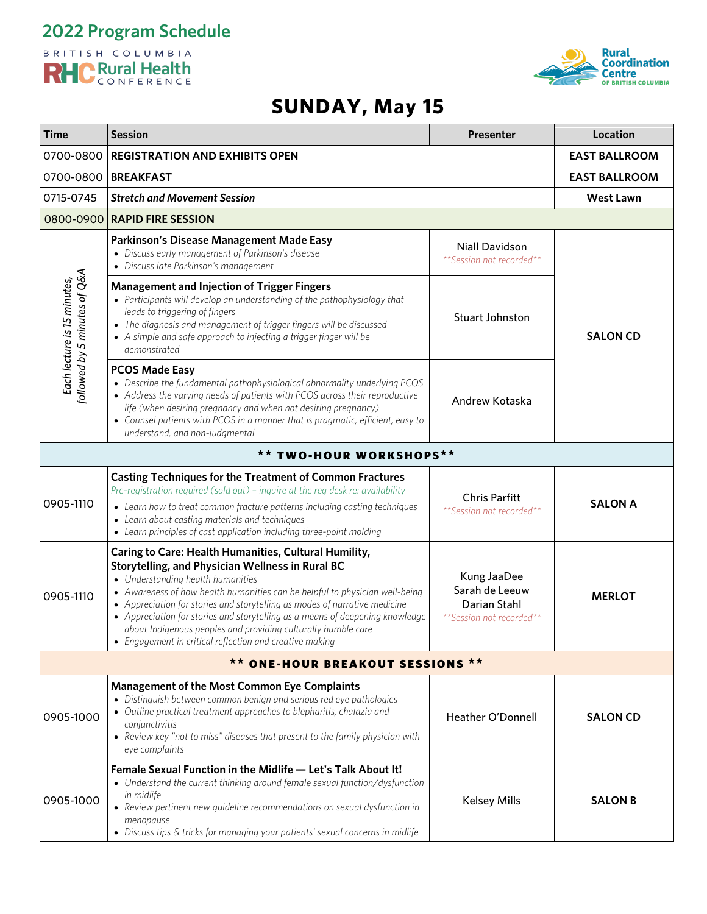



# **SUNDAY, May 15**

| <b>Time</b>                                                 | <b>Session</b>                                                                                                                                                                                                                                                                                                                                                                                                                                                                                                         | Presenter                                                                 | Location             |
|-------------------------------------------------------------|------------------------------------------------------------------------------------------------------------------------------------------------------------------------------------------------------------------------------------------------------------------------------------------------------------------------------------------------------------------------------------------------------------------------------------------------------------------------------------------------------------------------|---------------------------------------------------------------------------|----------------------|
| 0700-0800                                                   | <b>REGISTRATION AND EXHIBITS OPEN</b>                                                                                                                                                                                                                                                                                                                                                                                                                                                                                  |                                                                           | <b>EAST BALLROOM</b> |
| 0700-0800                                                   | <b>BREAKFAST</b>                                                                                                                                                                                                                                                                                                                                                                                                                                                                                                       |                                                                           | <b>EAST BALLROOM</b> |
| 0715-0745                                                   | <b>Stretch and Movement Session</b>                                                                                                                                                                                                                                                                                                                                                                                                                                                                                    |                                                                           | <b>West Lawn</b>     |
| 0800-0900                                                   | <b>RAPID FIRE SESSION</b>                                                                                                                                                                                                                                                                                                                                                                                                                                                                                              |                                                                           |                      |
| Each lecture is 15 minutes,<br>followed by 5 minutes of Q&A | Parkinson's Disease Management Made Easy<br>• Discuss early management of Parkinson's disease<br>• Discuss late Parkinson's management                                                                                                                                                                                                                                                                                                                                                                                 | <b>Niall Davidson</b><br>**Session not recorded**                         |                      |
|                                                             | <b>Management and Injection of Trigger Fingers</b><br>• Participants will develop an understanding of the pathophysiology that<br>leads to triggering of fingers<br>• The diagnosis and management of trigger fingers will be discussed<br>• A simple and safe approach to injecting a trigger finger will be<br>demonstrated                                                                                                                                                                                          | Stuart Johnston                                                           | <b>SALON CD</b>      |
|                                                             | <b>PCOS Made Easy</b><br>• Describe the fundamental pathophysiological abnormality underlying PCOS<br>• Address the varying needs of patients with PCOS across their reproductive<br>life (when desiring pregnancy and when not desiring pregnancy)<br>• Counsel patients with PCOS in a manner that is pragmatic, efficient, easy to<br>understand, and non-judgmental                                                                                                                                                | Andrew Kotaska                                                            |                      |
| ** TWO-HOUR WORKSHOPS**                                     |                                                                                                                                                                                                                                                                                                                                                                                                                                                                                                                        |                                                                           |                      |
| 0905-1110                                                   | <b>Casting Techniques for the Treatment of Common Fractures</b><br>Pre-registration required (sold out) - inquire at the reg desk re: availability<br>• Learn how to treat common fracture patterns including casting techniques<br>• Learn about casting materials and techniques<br>• Learn principles of cast application including three-point molding                                                                                                                                                             | <b>Chris Parfitt</b><br>**Session not recorded**                          | <b>SALON A</b>       |
| 0905-1110                                                   | Caring to Care: Health Humanities, Cultural Humility,<br>Storytelling, and Physician Wellness in Rural BC<br>• Understanding health humanities<br>• Awareness of how health humanities can be helpful to physician well-being<br>• Appreciation for stories and storytelling as modes of narrative medicine<br>• Appreciation for stories and storytelling as a means of deepening knowledge<br>about Indigenous peoples and providing culturally humble care<br>Engagement in critical reflection and creative making | Kung JaaDee<br>Sarah de Leeuw<br>Darian Stahl<br>**Session not recorded** | <b>MERLOT</b>        |
|                                                             | ** ONE-HOUR BREAKOUT SESSIONS **                                                                                                                                                                                                                                                                                                                                                                                                                                                                                       |                                                                           |                      |
| 0905-1000                                                   | <b>Management of the Most Common Eye Complaints</b><br>• Distinguish between common benign and serious red eye pathologies<br>• Outline practical treatment approaches to blepharitis, chalazia and<br>conjunctivitis<br>• Review key "not to miss" diseases that present to the family physician with<br>eye complaints                                                                                                                                                                                               | Heather O'Donnell                                                         | <b>SALON CD</b>      |
| 0905-1000                                                   | Female Sexual Function in the Midlife - Let's Talk About It!<br>• Understand the current thinking around female sexual function/dysfunction<br>in midlife<br>• Review pertinent new guideline recommendations on sexual dysfunction in<br>menopause<br>• Discuss tips & tricks for managing your patients' sexual concerns in midlife                                                                                                                                                                                  | <b>Kelsey Mills</b>                                                       | <b>SALON B</b>       |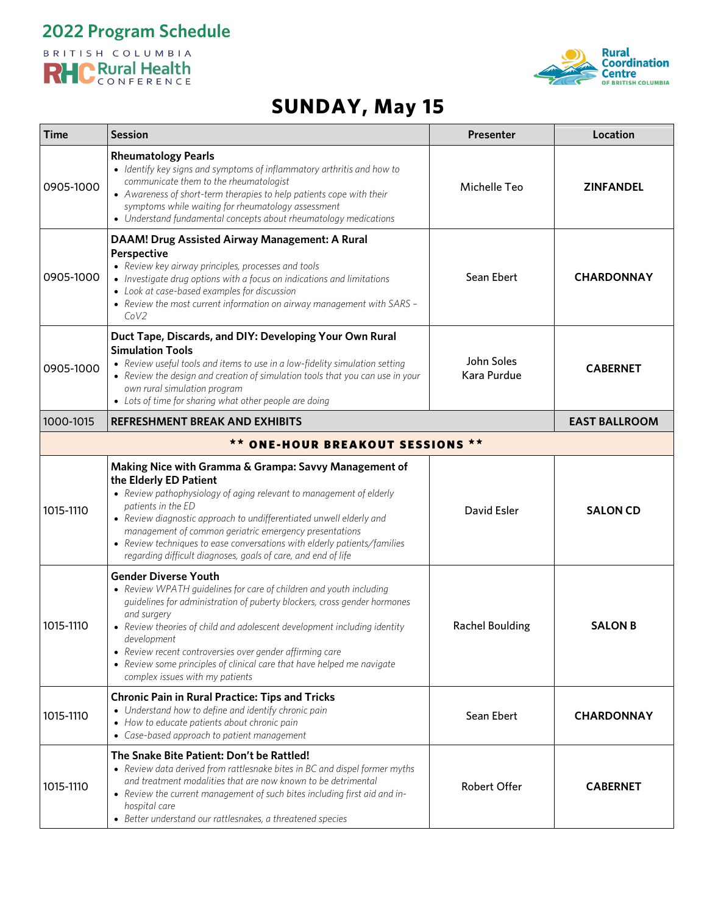



# **SUNDAY, May 15**

| Time                             | <b>Session</b>                                                                                                                                                                                                                                                                                                                                                                                                                                                   | Presenter                 | Location             |  |
|----------------------------------|------------------------------------------------------------------------------------------------------------------------------------------------------------------------------------------------------------------------------------------------------------------------------------------------------------------------------------------------------------------------------------------------------------------------------------------------------------------|---------------------------|----------------------|--|
| 0905-1000                        | <b>Rheumatology Pearls</b><br>• Identify key signs and symptoms of inflammatory arthritis and how to<br>communicate them to the rheumatologist<br>• Awareness of short-term therapies to help patients cope with their<br>symptoms while waiting for rheumatology assessment<br>• Understand fundamental concepts about rheumatology medications                                                                                                                 | Michelle Teo              | <b>ZINFANDEL</b>     |  |
| 0905-1000                        | DAAM! Drug Assisted Airway Management: A Rural<br><b>Perspective</b><br>• Review key airway principles, processes and tools<br>• Investigate drug options with a focus on indications and limitations<br>• Look at case-based examples for discussion<br>• Review the most current information on airway management with SARS -<br>CoV2                                                                                                                          | Sean Ebert                | <b>CHARDONNAY</b>    |  |
| 0905-1000                        | Duct Tape, Discards, and DIY: Developing Your Own Rural<br><b>Simulation Tools</b><br>• Review useful tools and items to use in a low-fidelity simulation setting<br>• Review the design and creation of simulation tools that you can use in your<br>own rural simulation program<br>• Lots of time for sharing what other people are doing                                                                                                                     | John Soles<br>Kara Purdue | <b>CABERNET</b>      |  |
| 1000-1015                        | <b>REFRESHMENT BREAK AND EXHIBITS</b>                                                                                                                                                                                                                                                                                                                                                                                                                            |                           | <b>EAST BALLROOM</b> |  |
| ** ONE-HOUR BREAKOUT SESSIONS ** |                                                                                                                                                                                                                                                                                                                                                                                                                                                                  |                           |                      |  |
| 1015-1110                        | Making Nice with Gramma & Grampa: Savvy Management of<br>the Elderly ED Patient<br>• Review pathophysiology of aging relevant to management of elderly<br>patients in the ED<br>• Review diagnostic approach to undifferentiated unwell elderly and<br>management of common geriatric emergency presentations<br>• Review techniques to ease conversations with elderly patients/families<br>regarding difficult diagnoses, goals of care, and end of life       | David Esler               | <b>SALON CD</b>      |  |
| 1015-1110                        | <b>Gender Diverse Youth</b><br>• Review WPATH guidelines for care of children and youth including<br>guidelines for administration of puberty blockers, cross gender hormones<br>and surgery<br>• Review theories of child and adolescent development including identity<br>development<br>• Review recent controversies over gender affirming care<br>• Review some principles of clinical care that have helped me navigate<br>complex issues with my patients | <b>Rachel Boulding</b>    | <b>SALON B</b>       |  |
| 1015-1110                        | <b>Chronic Pain in Rural Practice: Tips and Tricks</b><br>• Understand how to define and identify chronic pain<br>• How to educate patients about chronic pain<br>• Case-based approach to patient management                                                                                                                                                                                                                                                    | Sean Ebert                | <b>CHARDONNAY</b>    |  |
| 1015-1110                        | The Snake Bite Patient: Don't be Rattled!<br>• Review data derived from rattlesnake bites in BC and dispel former myths<br>and treatment modalities that are now known to be detrimental<br>• Review the current management of such bites including first aid and in-<br>hospital care<br>• Better understand our rattlesnakes, a threatened species                                                                                                             | <b>Robert Offer</b>       | <b>CABERNET</b>      |  |